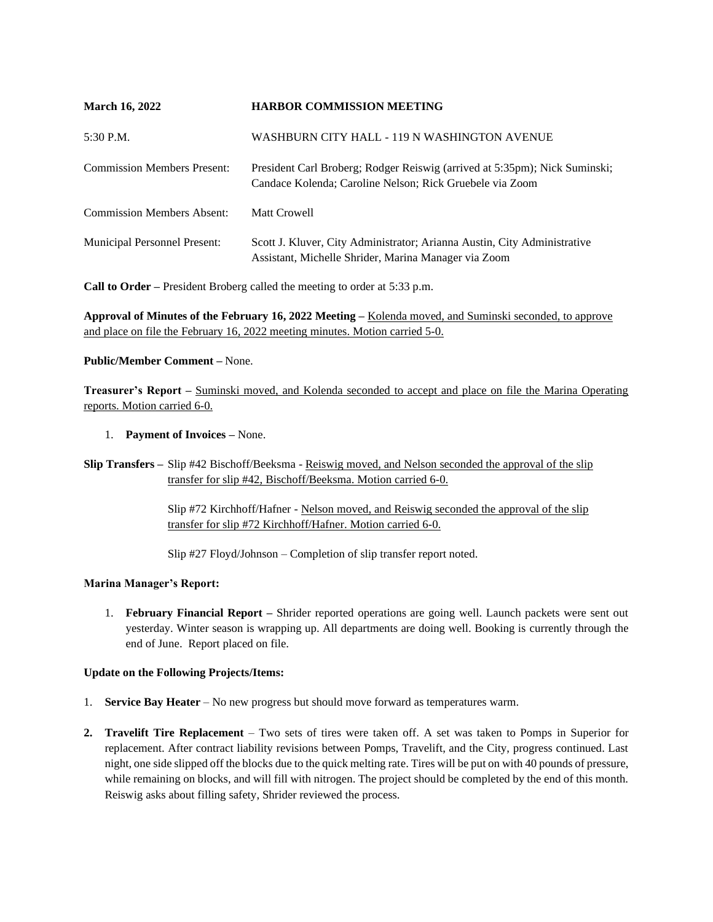| <b>March 16, 2022</b>               | <b>HARBOR COMMISSION MEETING</b>                                                                                                       |
|-------------------------------------|----------------------------------------------------------------------------------------------------------------------------------------|
| 5:30 P.M.                           | WASHBURN CITY HALL - 119 N WASHINGTON AVENUE                                                                                           |
| <b>Commission Members Present:</b>  | President Carl Broberg; Rodger Reiswig (arrived at 5:35pm); Nick Suminski;<br>Candace Kolenda; Caroline Nelson; Rick Gruebele via Zoom |
| <b>Commission Members Absent:</b>   | Matt Crowell                                                                                                                           |
| <b>Municipal Personnel Present:</b> | Scott J. Kluver, City Administrator; Arianna Austin, City Administrative<br>Assistant, Michelle Shrider, Marina Manager via Zoom       |

**Call to Order –** President Broberg called the meeting to order at 5:33 p.m.

**Approval of Minutes of the February 16, 2022 Meeting –** Kolenda moved, and Suminski seconded, to approve and place on file the February 16, 2022 meeting minutes. Motion carried 5-0.

# **Public/Member Comment –** None.

**Treasurer's Report –** Suminski moved, and Kolenda seconded to accept and place on file the Marina Operating reports. Motion carried 6-0.

# 1. **Payment of Invoices –** None.

**Slip Transfers –** Slip #42 Bischoff/Beeksma - Reiswig moved, and Nelson seconded the approval of the slip transfer for slip #42, Bischoff/Beeksma. Motion carried 6-0.

> Slip #72 Kirchhoff/Hafner - Nelson moved, and Reiswig seconded the approval of the slip transfer for slip #72 Kirchhoff/Hafner. Motion carried 6-0.

Slip #27 Floyd/Johnson – Completion of slip transfer report noted.

# **Marina Manager's Report:**

1. **February Financial Report –** Shrider reported operations are going well. Launch packets were sent out yesterday. Winter season is wrapping up. All departments are doing well. Booking is currently through the end of June. Report placed on file.

# **Update on the Following Projects/Items:**

- 1. **Service Bay Heater**  No new progress but should move forward as temperatures warm.
- **2. Travelift Tire Replacement**  Two sets of tires were taken off. A set was taken to Pomps in Superior for replacement. After contract liability revisions between Pomps, Travelift, and the City, progress continued. Last night, one side slipped off the blocks due to the quick melting rate. Tires will be put on with 40 pounds of pressure, while remaining on blocks, and will fill with nitrogen. The project should be completed by the end of this month. Reiswig asks about filling safety, Shrider reviewed the process.